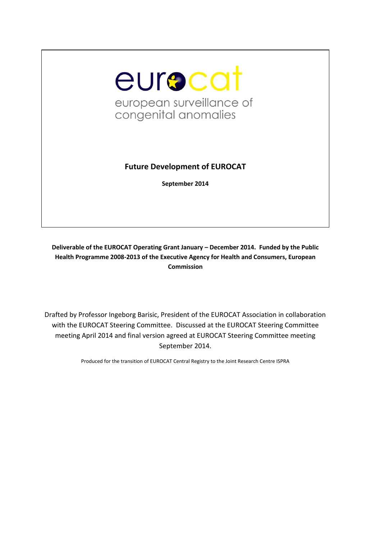

# **Future Development of EUROCAT**

**September 2014**

**Deliverable of the EUROCAT Operating Grant January – December 2014. Funded by the Public Health Programme 2008-2013 of the Executive Agency for Health and Consumers, European Commission**

Drafted by Professor Ingeborg Barisic, President of the EUROCAT Association in collaboration with the EUROCAT Steering Committee. Discussed at the EUROCAT Steering Committee meeting April 2014 and final version agreed at EUROCAT Steering Committee meeting September 2014.

Produced for the transition of EUROCAT Central Registry to the Joint Research Centre ISPRA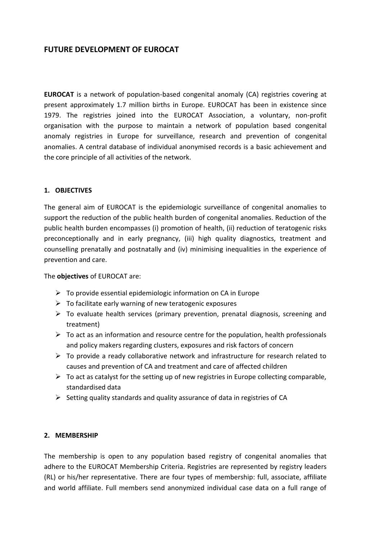# **FUTURE DEVELOPMENT OF EUROCAT**

**EUROCAT** is a network of population-based congenital anomaly (CA) registries covering at present approximately 1.7 million births in Europe. EUROCAT has been in existence since 1979. The registries joined into the EUROCAT Association, a voluntary, non-profit organisation with the purpose to maintain a network of population based congenital anomaly registries in Europe for surveillance, research and prevention of congenital anomalies. A central database of individual anonymised records is a basic achievement and the core principle of all activities of the network.

#### **1. OBJECTIVES**

The general aim of EUROCAT is the epidemiologic surveillance of congenital anomalies to support the reduction of the public health burden of congenital anomalies. Reduction of the public health burden encompasses (i) promotion of health, (ii) reduction of teratogenic risks preconceptionally and in early pregnancy, (iii) high quality diagnostics, treatment and counselling prenatally and postnatally and (iv) minimising inequalities in the experience of prevention and care.

The **objectives** of EUROCAT are:

- $\triangleright$  To provide essential epidemiologic information on CA in Europe
- $\triangleright$  To facilitate early warning of new teratogenic exposures
- $\triangleright$  To evaluate health services (primary prevention, prenatal diagnosis, screening and treatment)
- $\triangleright$  To act as an information and resource centre for the population, health professionals and policy makers regarding clusters, exposures and risk factors of concern
- $\triangleright$  To provide a ready collaborative network and infrastructure for research related to causes and prevention of CA and treatment and care of affected children
- $\triangleright$  To act as catalyst for the setting up of new registries in Europe collecting comparable, standardised data
- $\triangleright$  Setting quality standards and quality assurance of data in registries of CA

#### **2. MEMBERSHIP**

The membership is open to any population based registry of congenital anomalies that adhere to the EUROCAT Membership Criteria. Registries are represented by registry leaders (RL) or his/her representative. There are four types of membership: full, associate, affiliate and world affiliate. Full members send anonymized individual case data on a full range of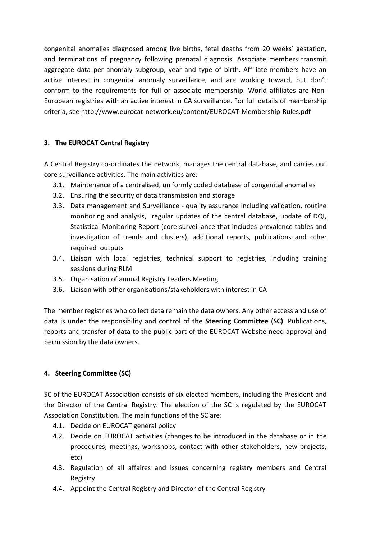congenital anomalies diagnosed among live births, fetal deaths from 20 weeks' gestation, and terminations of pregnancy following prenatal diagnosis. Associate members transmit aggregate data per anomaly subgroup, year and type of birth. Affiliate members have an active interest in congenital anomaly surveillance, and are working toward, but don't conform to the requirements for full or associate membership. World affiliates are Non-European registries with an active interest in CA surveillance. For full details of membership criteria, see<http://www.eurocat-network.eu/content/EUROCAT-Membership-Rules.pdf>

### **3. The EUROCAT Central Registry**

A Central Registry co-ordinates the network, manages the central database, and carries out core surveillance activities. The main activities are:

- 3.1. Maintenance of a centralised, uniformly coded database of congenital anomalies
- 3.2. Ensuring the security of data transmission and storage
- 3.3. Data management and Surveillance quality assurance including validation, routine monitoring and analysis, regular updates of the central database, update of DQI, Statistical Monitoring Report (core surveillance that includes prevalence tables and investigation of trends and clusters), additional reports, publications and other required outputs
- 3.4. Liaison with local registries, technical support to registries, including training sessions during RLM
- 3.5. Organisation of annual Registry Leaders Meeting
- 3.6. Liaison with other organisations/stakeholders with interest in CA

The member registries who collect data remain the data owners. Any other access and use of data is under the responsibility and control of the **Steering Committee (SC)**. Publications, reports and transfer of data to the public part of the EUROCAT Website need approval and permission by the data owners.

## **4. Steering Committee (SC)**

SC of the EUROCAT Association consists of six elected members, including the President and the Director of the Central Registry. The election of the SC is regulated by the EUROCAT Association Constitution. The main functions of the SC are:

- 4.1. Decide on EUROCAT general policy
- 4.2. Decide on EUROCAT activities (changes to be introduced in the database or in the procedures, meetings, workshops, contact with other stakeholders, new projects, etc)
- 4.3. Regulation of all affaires and issues concerning registry members and Central Registry
- 4.4. Appoint the Central Registry and Director of the Central Registry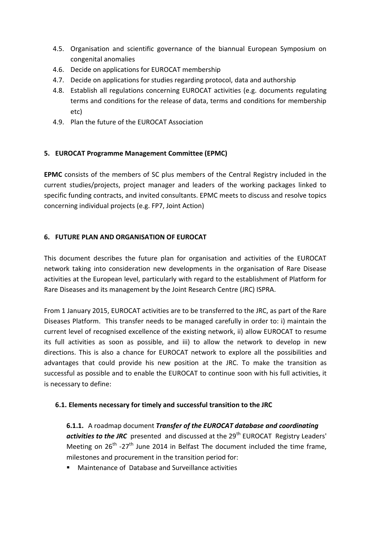- 4.5. Organisation and scientific governance of the biannual European Symposium on congenital anomalies
- 4.6. Decide on applications for EUROCAT membership
- 4.7. Decide on applications for studies regarding protocol, data and authorship
- 4.8. Establish all regulations concerning EUROCAT activities (e.g. documents regulating terms and conditions for the release of data, terms and conditions for membership etc)
- 4.9. Plan the future of the EUROCAT Association

#### **5. EUROCAT Programme Management Committee (EPMC)**

**EPMC** consists of the members of SC plus members of the Central Registry included in the current studies/projects, project manager and leaders of the working packages linked to specific funding contracts, and invited consultants. EPMC meets to discuss and resolve topics concerning individual projects (e.g. FP7, Joint Action)

#### **6. FUTURE PLAN AND ORGANISATION OF EUROCAT**

This document describes the future plan for organisation and activities of the EUROCAT network taking into consideration new developments in the organisation of Rare Disease activities at the European level, particularly with regard to the establishment of Platform for Rare Diseases and its management by the Joint Research Centre (JRC) ISPRA.

From 1 January 2015, EUROCAT activities are to be transferred to the JRC, as part of the Rare Diseases Platform. This transfer needs to be managed carefully in order to: i) maintain the current level of recognised excellence of the existing network, ii) allow EUROCAT to resume its full activities as soon as possible, and iii) to allow the network to develop in new directions. This is also a chance for EUROCAT network to explore all the possibilities and advantages that could provide his new position at the JRC. To make the transition as successful as possible and to enable the EUROCAT to continue soon with his full activities, it is necessary to define:

#### **6.1. Elements necessary for timely and successful transition to the JRC**

**6.1.1.** A roadmap document *Transfer of the EUROCAT database and coordinating*  activities to the JRC presented and discussed at the 29<sup>th</sup> EUROCAT Registry Leaders' Meeting on  $26^{th}$  -27<sup>th</sup> June 2014 in Belfast The document included the time frame, milestones and procurement in the transition period for:

Maintenance of Database and Surveillance activities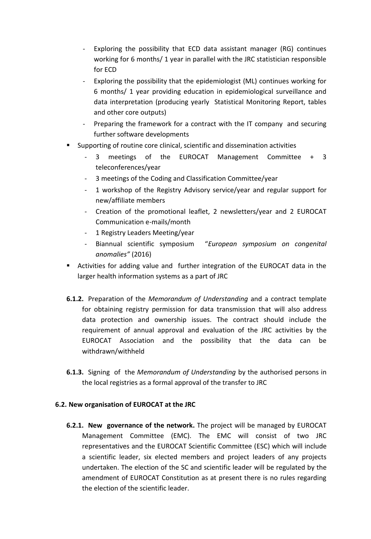- Exploring the possibility that ECD data assistant manager (RG) continues working for 6 months/ 1 year in parallel with the JRC statistician responsible for ECD
- Exploring the possibility that the epidemiologist (ML) continues working for 6 months/ 1 year providing education in epidemiological surveillance and data interpretation (producing yearly Statistical Monitoring Report, tables and other core outputs)
- Preparing the framework for a contract with the IT company and securing further software developments
- Supporting of routine core clinical, scientific and dissemination activities
	- 3 meetings of the EUROCAT Management Committee + 3 teleconferences/year
	- 3 meetings of the Coding and Classification Committee/year
	- 1 workshop of the Registry Advisory service/year and regular support for new/affiliate members
	- Creation of the promotional leaflet, 2 newsletters/year and 2 EUROCAT Communication e-mails/month
	- 1 Registry Leaders Meeting/year
	- Biannual scientific symposium "*European symposium on congenital anomalies"* (2016)
- Activities for adding value and further integration of the EUROCAT data in the larger health information systems as a part of JRC
- **6.1.2.** Preparation of the *Memorandum of Understanding* and a contract template for obtaining registry permission for data transmission that will also address data protection and ownership issues. The contract should include the requirement of annual approval and evaluation of the JRC activities by the EUROCAT Association and the possibility that the data can be withdrawn/withheld
- **6.1.3.** Signing of the *Memorandum of Understanding* by the authorised persons in the local registries as a formal approval of the transfer to JRC

#### **6.2. New organisation of EUROCAT at the JRC**

**6.2.1. New governance of the network.** The project will be managed by EUROCAT Management Committee (EMC). The EMC will consist of two JRC representatives and the EUROCAT Scientific Committee (ESC) which will include a scientific leader, six elected members and project leaders of any projects undertaken. The election of the SC and scientific leader will be regulated by the amendment of EUROCAT Constitution as at present there is no rules regarding the election of the scientific leader.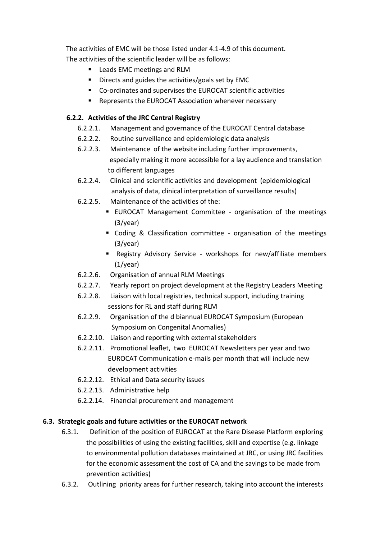The activities of EMC will be those listed under 4.1-4.9 of this document. The activities of the scientific leader will be as follows:

- Leads EMC meetings and RLM
- **Directs and guides the activities/goals set by EMC**
- Co-ordinates and supervises the EUROCAT scientific activities
- **Represents the EUROCAT Association whenever necessary**

## **6.2.2. Activities of the JRC Central Registry**

- 6.2.2.1. Management and governance of the EUROCAT Central database
- 6.2.2.2. Routine surveillance and epidemiologic data analysis
- 6.2.2.3. Maintenance of the website including further improvements, especially making it more accessible for a lay audience and translation to different languages
- 6.2.2.4. Clinical and scientific activities and development (epidemiological analysis of data, clinical interpretation of surveillance results)
- 6.2.2.5. Maintenance of the activities of the:
	- EUROCAT Management Committee organisation of the meetings (3/year)
	- Coding & Classification committee organisation of the meetings (3/year)
	- Registry Advisory Service workshops for new/affiliate members (1/year)
- 6.2.2.6. Organisation of annual RLM Meetings
- 6.2.2.7. Yearly report on project development at the Registry Leaders Meeting
- 6.2.2.8. Liaison with local registries, technical support, including training sessions for RL and staff during RLM
- 6.2.2.9. Organisation of the d biannual EUROCAT Symposium (European Symposium on Congenital Anomalies)
- 6.2.2.10. Liaison and reporting with external stakeholders
- 6.2.2.11. Promotional leaflet, two EUROCAT Newsletters per year and two EUROCAT Communication e-mails per month that will include new development activities
- 6.2.2.12. Ethical and Data security issues
- 6.2.2.13. Administrative help
- 6.2.2.14. Financial procurement and management

## **6.3. Strategic goals and future activities or the EUROCAT network**

- 6.3.1. Definition of the position of EUROCAT at the Rare Disease Platform exploring the possibilities of using the existing facilities, skill and expertise (e.g. linkage to environmental pollution databases maintained at JRC, or using JRC facilities for the economic assessment the cost of CA and the savings to be made from prevention activities)
- 6.3.2. Outlining priority areas for further research, taking into account the interests